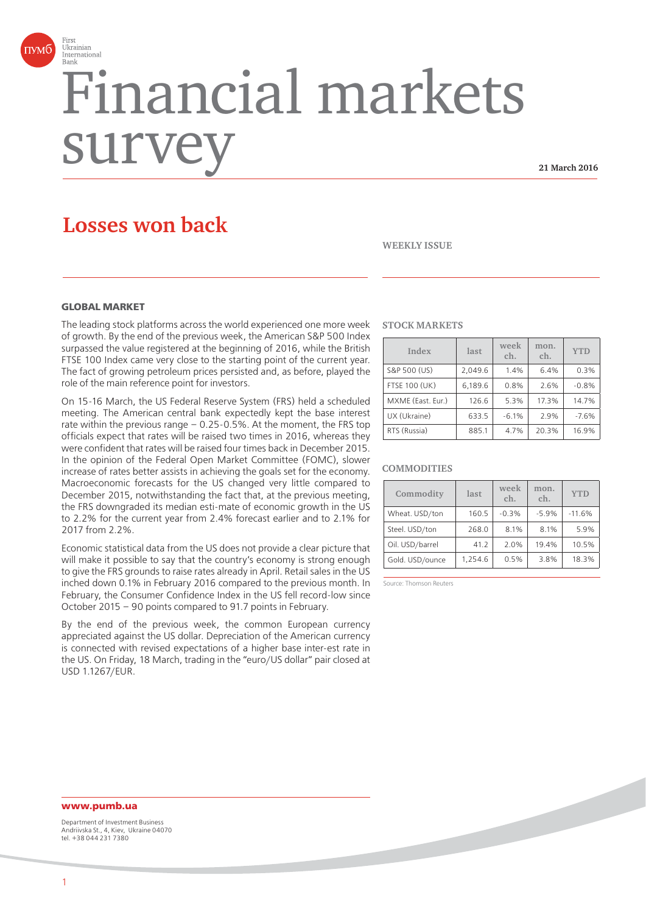

# Financial markets surv

**21 March 2016**

# **Losses won back**

**WEEKLY ISSUE**

# **GLOBAL MARKET**

The leading stock platforms across the world experienced one more week of growth. By the end of the previous week, the American S&P 500 Index surpassed the value registered at the beginning of 2016, while the British FTSE 100 Index came very close to the starting point of the current year. The fact of growing petroleum prices persisted and, as before, played the role of the main reference point for investors.

On 15-16 March, the US Federal Reserve System (FRS) held a scheduled meeting. The American central bank expectedly kept the base interest rate within the previous range – 0.25-0.5%. At the moment, the FRS top officials expect that rates will be raised two times in 2016, whereas they were confident that rates will be raised four times back in December 2015. In the opinion of the Federal Open Market Committee (FOMC), slower increase of rates better assists in achieving the goals set for the economy. Macroeconomic forecasts for the US changed very little compared to December 2015, notwithstanding the fact that, at the previous meeting, the FRS downgraded its median esti-mate of economic growth in the US to 2.2% for the current year from 2.4% forecast earlier and to 2.1% for 2017 from 2.2%.

Economic statistical data from the US does not provide a clear picture that will make it possible to say that the country's economy is strong enough to give the FRS grounds to raise rates already in April. Retail sales in the US inched down 0.1% in February 2016 compared to the previous month. In February, the Consumer Confidence Index in the US fell record-low since October 2015 – 90 points compared to 91.7 points in February.

By the end of the previous week, the common European currency appreciated against the US dollar. Depreciation of the American currency is connected with revised expectations of a higher base inter-est rate in the US. On Friday, 18 March, trading in the "euro/US dollar" pair closed at USD 1.1267/EUR.

#### **STOCK MARKETS**

| Index                | last    | week<br>ch. | mon.<br>ch. | <b>YTD</b> |
|----------------------|---------|-------------|-------------|------------|
| S&P 500 (US)         | 2.049.6 | 1.4%        | 6.4%        | 0.3%       |
| <b>FTSE 100 (UK)</b> | 6.189.6 | 0.8%        | 2.6%        | $-0.8%$    |
| MXME (East. Eur.)    | 126.6   | 5.3%        | 17.3%       | 14.7%      |
| UX (Ukraine)         | 633.5   | $-6.1%$     | 2.9%        | $-7.6%$    |
| RTS (Russia)         | 885.1   | 4.7%        | 20.3%       | 16.9%      |

#### **COMMODITIES**

| Commodity       | last    | week<br>ch. | mon.<br>ch. | <b>YTD</b> |
|-----------------|---------|-------------|-------------|------------|
| Wheat. USD/ton  | 160.5   | $-0.3%$     | $-5.9%$     | $-11.6%$   |
| Steel. USD/ton  | 268.0   | 8.1%        | 8.1%        | 5.9%       |
| Oil. USD/barrel | 41.2    | 2.0%        | 19.4%       | 10.5%      |
| Gold. USD/ounce | 1,254.6 | 0.5%        | 3.8%        | 18.3%      |

Source: Thomson Reuters

# **www.pumb.ua**

Department of Investment Business Andriivska St., 4, Kiev, Ukraine 04070 tel. +38 044 231 7380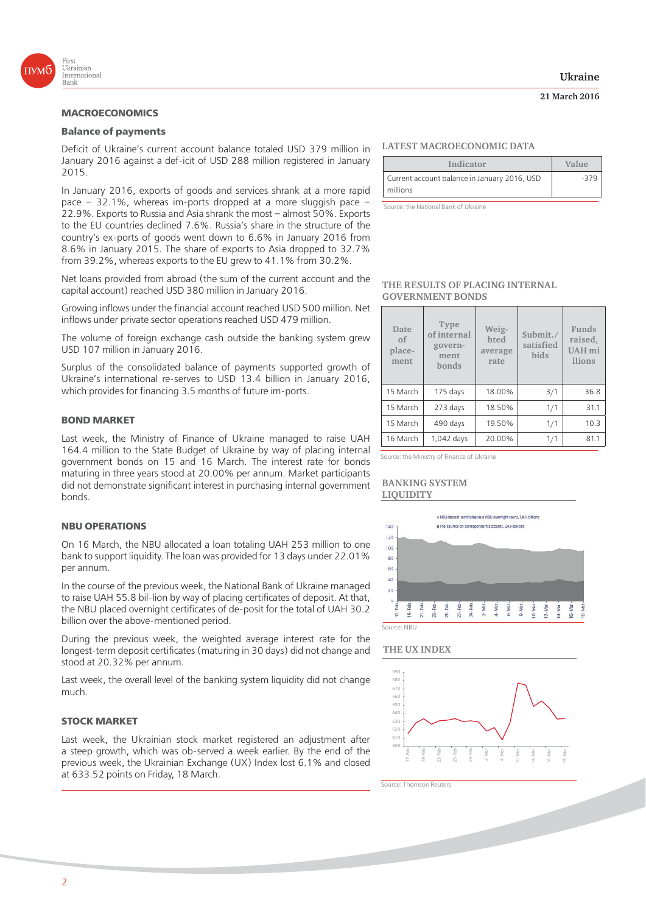

# **MACROECONOMICS**

#### **Balance of payments**

Deficit of Ukraine's current account balance totaled USD 379 million in January 2016 against a def-icit of USD 288 million registered in January 2015.

In January 2016, exports of goods and services shrank at a more rapid pace – 32.1%, whereas im-ports dropped at a more sluggish pace – 22.9%. Exports to Russia and Asia shrank the most – almost 50%. Exports to the EU countries declined 7.6%. Russia's share in the structure of the country's ex-ports of goods went down to 6.6% in January 2016 from 8.6% in January 2015. The share of exports to Asia dropped to 32.7% from 39.2%, whereas exports to the EU grew to 41.1% from 30.2%.

Net loans provided from abroad (the sum of the current account and the capital account) reached USD 380 million in January 2016.

Growing inflows under the financial account reached USD 500 million. Net inflows under private sector operations reached USD 479 million.

The volume of foreign exchange cash outside the banking system grew USD 107 million in January 2016.

Surplus of the consolidated balance of payments supported growth of Ukraine's international re-serves to USD 13.4 billion in January 2016, which provides for financing 3.5 months of future im-ports.

# **BOND MARKET**

Last week, the Ministry of Finance of Ukraine managed to raise UAH 164.4 million to the State Budget of Ukraine by way of placing internal government bonds on 15 and 16 March. The interest rate for bonds maturing in three years stood at 20.00% per annum. Market participants did not demonstrate significant interest in purchasing internal government bonds.

## **NBU OPERATIONS**

On 16 March, the NBU allocated a loan totaling UAH 253 million to one bank to support liquidity. The loan was provided for 13 days under 22.01% per annum.

In the course of the previous week, the National Bank of Ukraine managed to raise UAH 55.8 bil-lion by way of placing certificates of deposit. At that, the NBU placed overnight certificates of de-posit for the total of UAH 30.2 billion over the above-mentioned period.

During the previous week, the weighted average interest rate for the longest-term deposit certificates (maturing in 30 days) did not change and stood at 20.32% per annum.

Last week, the overall level of the banking system liquidity did not change much.

# **STOCK MARKET**

Last week, the Ukrainian stock market registered an adjustment after a steep growth, which was ob-served a week earlier. By the end of the previous week, the Ukrainian Exchange (UX) Index lost 6.1% and closed at 633.52 points on Friday, 18 March.

# **Ukraine**

#### **21 March 2016**

#### **LATEST MACROECONOMIC DATA**

| Indicator                                    | Value |
|----------------------------------------------|-------|
| Current account balance in January 2016, USD | -379  |
| millions                                     |       |

Source: the National Bank of Ukraine

#### **THE RESULTS OF PLACING INTERNAL GOVERNMENT BONDS**

| Date<br>of<br>place-<br>ment | Type<br>of internal<br>govern-<br>ment<br>bonds | Weig-<br>hted<br>average<br>rate | Submit./<br>satisfied<br>bids | <b>Funds</b><br>raised,<br>UAH mi<br><i>llions</i> |
|------------------------------|-------------------------------------------------|----------------------------------|-------------------------------|----------------------------------------------------|
| 15 March                     | 175 days                                        | 18.00%                           | 3/1                           | 36.8                                               |
| 15 March                     | 273 days                                        | 18.50%                           | 1/1                           | 31.1                                               |
| 15 March                     | 490 days                                        | 19.50%                           | 1/1                           | 10.3                                               |
| 16 March                     | $1,042$ days                                    | 20.00%                           | 1/1                           | 81.1                                               |

Source: the Ministry of Finance of Ukraine

#### **BANKING SYSTEM LIQUIDITY**



#### **THE UX INDEX**



Source: Thomson Reuters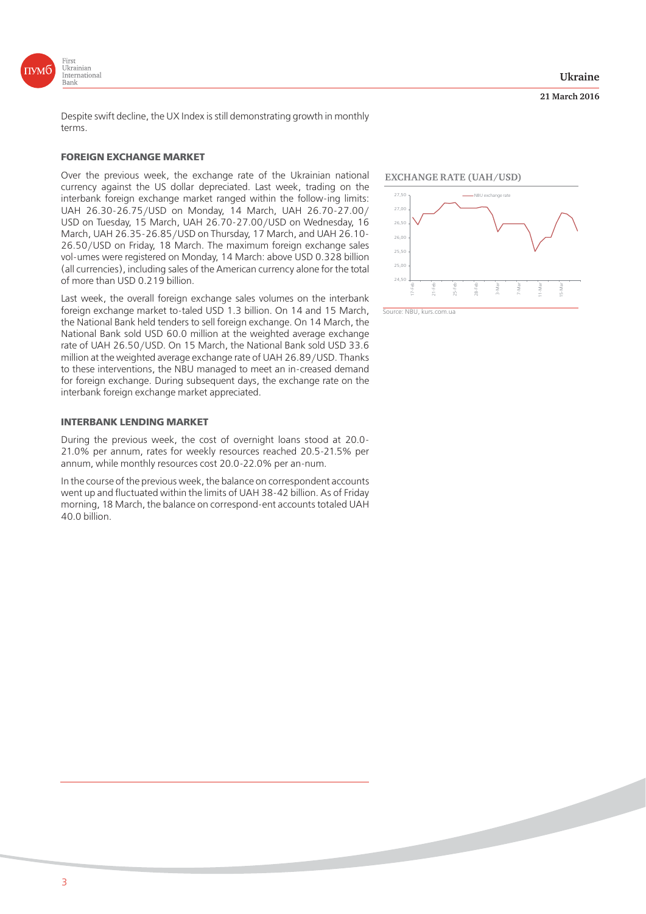

**21 March 2016**

Despite swift decline, the UX Index is still demonstrating growth in monthly terms.

# **FOREIGN EXCHANGE MARKET**

Over the previous week, the exchange rate of the Ukrainian national currency against the US dollar depreciated. Last week, trading on the interbank foreign exchange market ranged within the follow-ing limits: UAH 26.30-26.75/USD on Monday, 14 March, UAH 26.70-27.00/ USD on Tuesday, 15 March, UAH 26.70-27.00/USD on Wednesday, 16 March, UAH 26.35-26.85/USD on Thursday, 17 March, and UAH 26.10- 26.50/USD on Friday, 18 March. The maximum foreign exchange sales vol-umes were registered on Monday, 14 March: above USD 0.328 billion (all currencies), including sales of the American currency alone for the total of more than USD 0.219 billion.

Last week, the overall foreign exchange sales volumes on the interbank foreign exchange market to-taled USD 1.3 billion. On 14 and 15 March, the National Bank held tenders to sell foreign exchange. On 14 March, the National Bank sold USD 60.0 million at the weighted average exchange rate of UAH 26.50/USD. On 15 March, the National Bank sold USD 33.6 million at the weighted average exchange rate of UAH 26.89/USD. Thanks to these interventions, the NBU managed to meet an in-creased demand for foreign exchange. During subsequent days, the exchange rate on the interbank foreign exchange market appreciated.

# **INTERBANK LENDING MARKET**

During the previous week, the cost of overnight loans stood at 20.0- 21.0% per annum, rates for weekly resources reached 20.5-21.5% per annum, while monthly resources cost 20.0-22.0% per an-num.

In the course of the previous week, the balance on correspondent accounts went up and fluctuated within the limits of UAH 38-42 billion. As of Friday morning, 18 March, the balance on correspond-ent accounts totaled UAH 40.0 billion.





Source: NBU, kurs.com.ua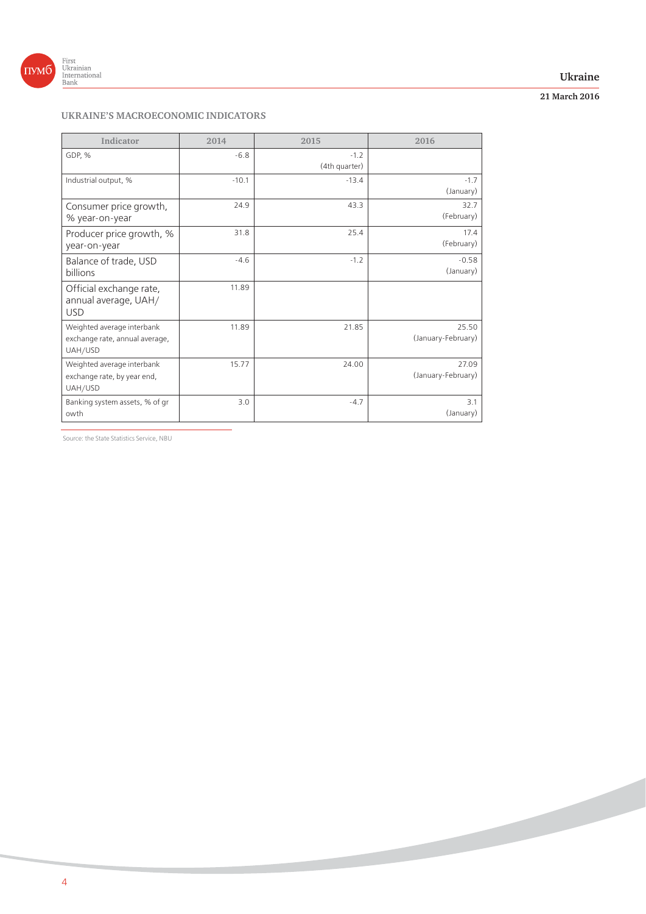

# **Ukraine**

# **21 March 2016**

# **UKRAINE'S MACROECONOMIC INDICATORS**

| Indicator                                                               | 2014    | 2015                    | 2016                        |
|-------------------------------------------------------------------------|---------|-------------------------|-----------------------------|
| GDP, %                                                                  | $-6.8$  | $-1.2$<br>(4th quarter) |                             |
| Industrial output, %                                                    | $-10.1$ | $-13.4$                 | $-1.7$<br>(January)         |
| Consumer price growth,<br>% year-on-year                                | 24.9    | 43.3                    | 32.7<br>(February)          |
| Producer price growth, %<br>year-on-year                                | 31.8    | 25.4                    | 17.4<br>(February)          |
| Balance of trade, USD<br><b>billions</b>                                | $-4.6$  | $-1.2$                  | $-0.58$<br>(January)        |
| Official exchange rate,<br>annual average, UAH/<br><b>USD</b>           | 11.89   |                         |                             |
| Weighted average interbank<br>exchange rate, annual average,<br>UAH/USD | 11.89   | 21.85                   | 25.50<br>(January-February) |
| Weighted average interbank<br>exchange rate, by year end,<br>UAH/USD    | 15.77   | 24.00                   | 27.09<br>(January-February) |
| Banking system assets, % of gr<br>owth                                  | 3.0     | $-4.7$                  | 3.1<br>(January)            |

Source: the State Statistics Service, NBU